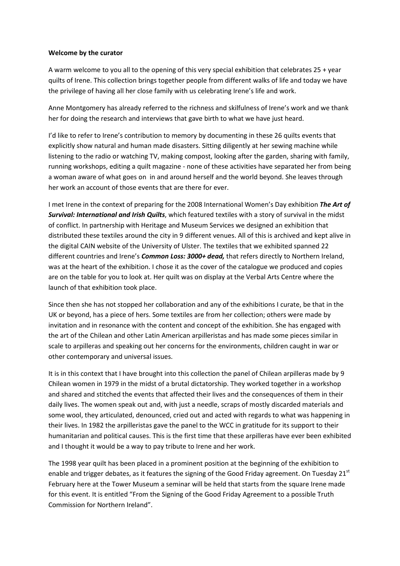## **Welcome by the curator**

A warm welcome to you all to the opening of this very special exhibition that celebrates 25 + year quilts of Irene. This collection brings together people from different walks of life and today we have the privilege of having all her close family with us celebrating Irene's life and work.

Anne Montgomery has already referred to the richness and skilfulness of Irene's work and we thank her for doing the research and interviews that gave birth to what we have just heard.

I'd like to refer to Irene's contribution to memory by documenting in these 26 quilts events that explicitly show natural and human made disasters. Sitting diligently at her sewing machine while listening to the radio or watching TV, making compost, looking after the garden, sharing with family, running workshops, editing a quilt magazine - none of these activities have separated her from being a woman aware of what goes on in and around herself and the world beyond. She leaves through her work an account of those events that are there for ever.

I met Irene in the context of preparing for the 2008 International Women's Day exhibition *The Art of Survival: International and Irish Quilts*, which featured textiles with a story of survival in the midst of conflict. In partnership with Heritage and Museum Services we designed an exhibition that distributed these textiles around the city in 9 different venues. All of this is archived and kept alive in the digital CAIN website of the University of Ulster. The textiles that we exhibited spanned 22 different countries and Irene's *Common Loss: 3000+ dead,* that refers directly to Northern Ireland, was at the heart of the exhibition. I chose it as the cover of the catalogue we produced and copies are on the table for you to look at. Her quilt was on display at the Verbal Arts Centre where the launch of that exhibition took place.

Since then she has not stopped her collaboration and any of the exhibitions I curate, be that in the UK or beyond, has a piece of hers. Some textiles are from her collection; others were made by invitation and in resonance with the content and concept of the exhibition. She has engaged with the art of the Chilean and other Latin American arpilleristas and has made some pieces similar in scale to arpilleras and speaking out her concerns for the environments, children caught in war or other contemporary and universal issues.

It is in this context that I have brought into this collection the panel of Chilean arpilleras made by 9 Chilean women in 1979 in the midst of a brutal dictatorship. They worked together in a workshop and shared and stitched the events that affected their lives and the consequences of them in their daily lives. The women speak out and, with just a needle, scraps of mostly discarded materials and some wool, they articulated, denounced, cried out and acted with regards to what was happening in their lives. In 1982 the arpilleristas gave the panel to the WCC in gratitude for its support to their humanitarian and political causes. This is the first time that these arpilleras have ever been exhibited and I thought it would be a way to pay tribute to Irene and her work.

The 1998 year quilt has been placed in a prominent position at the beginning of the exhibition to enable and trigger debates, as it features the signing of the Good Friday agreement. On Tuesday 21<sup>st</sup> February here at the Tower Museum a seminar will be held that starts from the square Irene made for this event. It is entitled "From the Signing of the Good Friday Agreement to a possible Truth Commission for Northern Ireland".